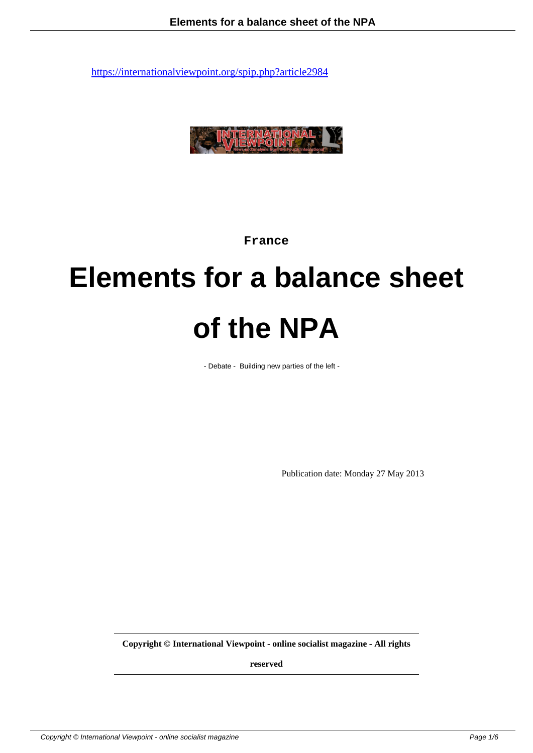

**France**

# **Elements for a balance sheet of the NPA**

- Debate - Building new parties of the left -

Publication date: Monday 27 May 2013

**Copyright © International Viewpoint - online socialist magazine - All rights**

**reserved**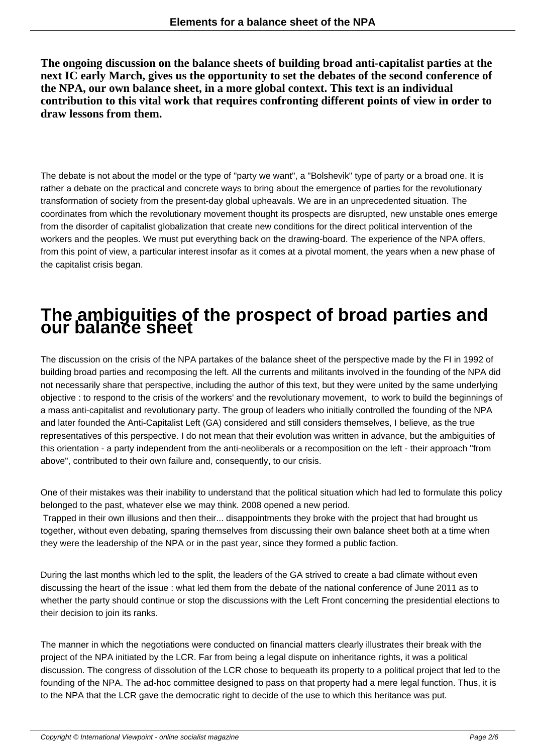**The ongoing discussion on the balance sheets of building broad anti-capitalist parties at the next IC early March, gives us the opportunity to set the debates of the second conference of the NPA, our own balance sheet, in a more global context. This text is an individual contribution to this vital work that requires confronting different points of view in order to draw lessons from them.**

The debate is not about the model or the type of "party we want", a "Bolshevik" type of party or a broad one. It is rather a debate on the practical and concrete ways to bring about the emergence of parties for the revolutionary transformation of society from the present-day global upheavals. We are in an unprecedented situation. The coordinates from which the revolutionary movement thought its prospects are disrupted, new unstable ones emerge from the disorder of capitalist globalization that create new conditions for the direct political intervention of the workers and the peoples. We must put everything back on the drawing-board. The experience of the NPA offers, from this point of view, a particular interest insofar as it comes at a pivotal moment, the years when a new phase of the capitalist crisis began.

## **The ambiguities of the prospect of broad parties and our balance sheet**

The discussion on the crisis of the NPA partakes of the balance sheet of the perspective made by the FI in 1992 of building broad parties and recomposing the left. All the currents and militants involved in the founding of the NPA did not necessarily share that perspective, including the author of this text, but they were united by the same underlying objective : to respond to the crisis of the workers' and the revolutionary movement, to work to build the beginnings of a mass anti-capitalist and revolutionary party. The group of leaders who initially controlled the founding of the NPA and later founded the Anti-Capitalist Left (GA) considered and still considers themselves, I believe, as the true representatives of this perspective. I do not mean that their evolution was written in advance, but the ambiguities of this orientation - a party independent from the anti-neoliberals or a recomposition on the left - their approach "from above", contributed to their own failure and, consequently, to our crisis.

One of their mistakes was their inability to understand that the political situation which had led to formulate this policy belonged to the past, whatever else we may think. 2008 opened a new period.

 Trapped in their own illusions and then their... disappointments they broke with the project that had brought us together, without even debating, sparing themselves from discussing their own balance sheet both at a time when they were the leadership of the NPA or in the past year, since they formed a public faction.

During the last months which led to the split, the leaders of the GA strived to create a bad climate without even discussing the heart of the issue : what led them from the debate of the national conference of June 2011 as to whether the party should continue or stop the discussions with the Left Front concerning the presidential elections to their decision to join its ranks.

The manner in which the negotiations were conducted on financial matters clearly illustrates their break with the project of the NPA initiated by the LCR. Far from being a legal dispute on inheritance rights, it was a political discussion. The congress of dissolution of the LCR chose to bequeath its property to a political project that led to the founding of the NPA. The ad-hoc committee designed to pass on that property had a mere legal function. Thus, it is to the NPA that the LCR gave the democratic right to decide of the use to which this heritance was put.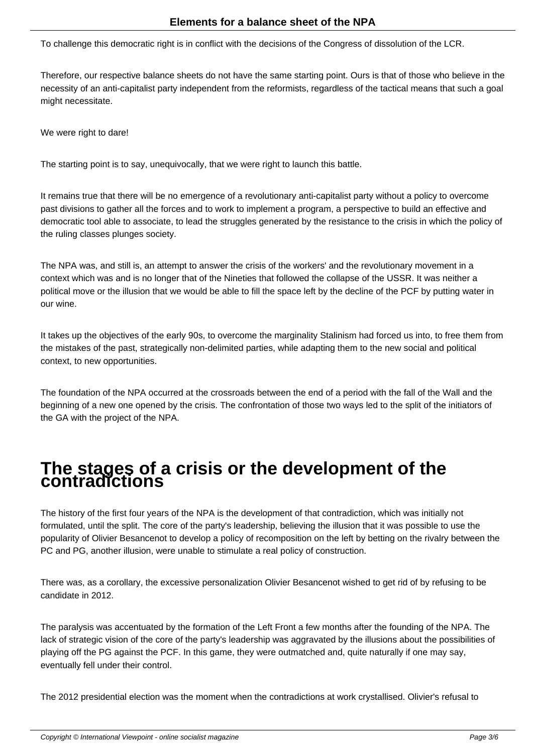To challenge this democratic right is in conflict with the decisions of the Congress of dissolution of the LCR.

Therefore, our respective balance sheets do not have the same starting point. Ours is that of those who believe in the necessity of an anti-capitalist party independent from the reformists, regardless of the tactical means that such a goal might necessitate.

We were right to dare!

The starting point is to say, unequivocally, that we were right to launch this battle.

It remains true that there will be no emergence of a revolutionary anti-capitalist party without a policy to overcome past divisions to gather all the forces and to work to implement a program, a perspective to build an effective and democratic tool able to associate, to lead the struggles generated by the resistance to the crisis in which the policy of the ruling classes plunges society.

The NPA was, and still is, an attempt to answer the crisis of the workers' and the revolutionary movement in a context which was and is no longer that of the Nineties that followed the collapse of the USSR. It was neither a political move or the illusion that we would be able to fill the space left by the decline of the PCF by putting water in our wine.

It takes up the objectives of the early 90s, to overcome the marginality Stalinism had forced us into, to free them from the mistakes of the past, strategically non-delimited parties, while adapting them to the new social and political context, to new opportunities.

The foundation of the NPA occurred at the crossroads between the end of a period with the fall of the Wall and the beginning of a new one opened by the crisis. The confrontation of those two ways led to the split of the initiators of the GA with the project of the NPA.

## **The stages of a crisis or the development of the contradictions**

The history of the first four years of the NPA is the development of that contradiction, which was initially not formulated, until the split. The core of the party's leadership, believing the illusion that it was possible to use the popularity of Olivier Besancenot to develop a policy of recomposition on the left by betting on the rivalry between the PC and PG, another illusion, were unable to stimulate a real policy of construction.

There was, as a corollary, the excessive personalization Olivier Besancenot wished to get rid of by refusing to be candidate in 2012.

The paralysis was accentuated by the formation of the Left Front a few months after the founding of the NPA. The lack of strategic vision of the core of the party's leadership was aggravated by the illusions about the possibilities of playing off the PG against the PCF. In this game, they were outmatched and, quite naturally if one may say, eventually fell under their control.

The 2012 presidential election was the moment when the contradictions at work crystallised. Olivier's refusal to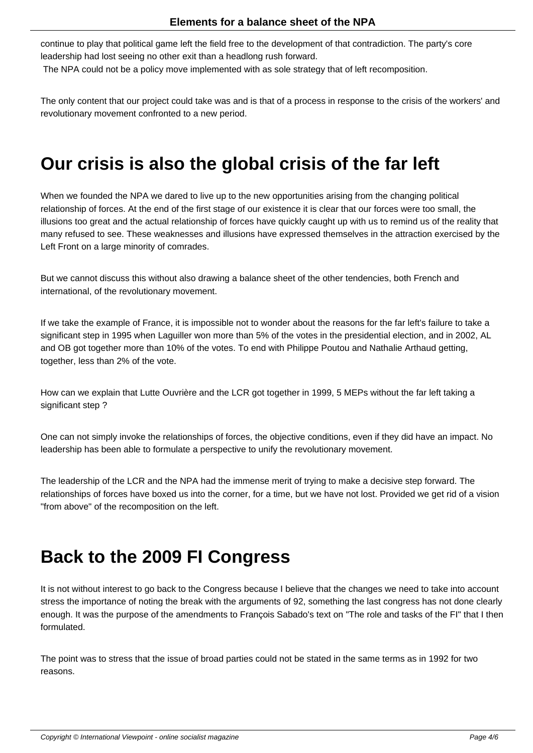continue to play that political game left the field free to the development of that contradiction. The party's core leadership had lost seeing no other exit than a headlong rush forward.

The NPA could not be a policy move implemented with as sole strategy that of left recomposition.

The only content that our project could take was and is that of a process in response to the crisis of the workers' and revolutionary movement confronted to a new period.

#### **Our crisis is also the global crisis of the far left**

When we founded the NPA we dared to live up to the new opportunities arising from the changing political relationship of forces. At the end of the first stage of our existence it is clear that our forces were too small, the illusions too great and the actual relationship of forces have quickly caught up with us to remind us of the reality that many refused to see. These weaknesses and illusions have expressed themselves in the attraction exercised by the Left Front on a large minority of comrades.

But we cannot discuss this without also drawing a balance sheet of the other tendencies, both French and international, of the revolutionary movement.

If we take the example of France, it is impossible not to wonder about the reasons for the far left's failure to take a significant step in 1995 when Laguiller won more than 5% of the votes in the presidential election, and in 2002, AL and OB got together more than 10% of the votes. To end with Philippe Poutou and Nathalie Arthaud getting, together, less than 2% of the vote.

How can we explain that Lutte Ouvrière and the LCR got together in 1999, 5 MEPs without the far left taking a significant step ?

One can not simply invoke the relationships of forces, the objective conditions, even if they did have an impact. No leadership has been able to formulate a perspective to unify the revolutionary movement.

The leadership of the LCR and the NPA had the immense merit of trying to make a decisive step forward. The relationships of forces have boxed us into the corner, for a time, but we have not lost. Provided we get rid of a vision "from above" of the recomposition on the left.

#### **Back to the 2009 FI Congress**

It is not without interest to go back to the Congress because I believe that the changes we need to take into account stress the importance of noting the break with the arguments of 92, something the last congress has not done clearly enough. It was the purpose of the amendments to François Sabado's text on "The role and tasks of the FI" that I then formulated.

The point was to stress that the issue of broad parties could not be stated in the same terms as in 1992 for two reasons.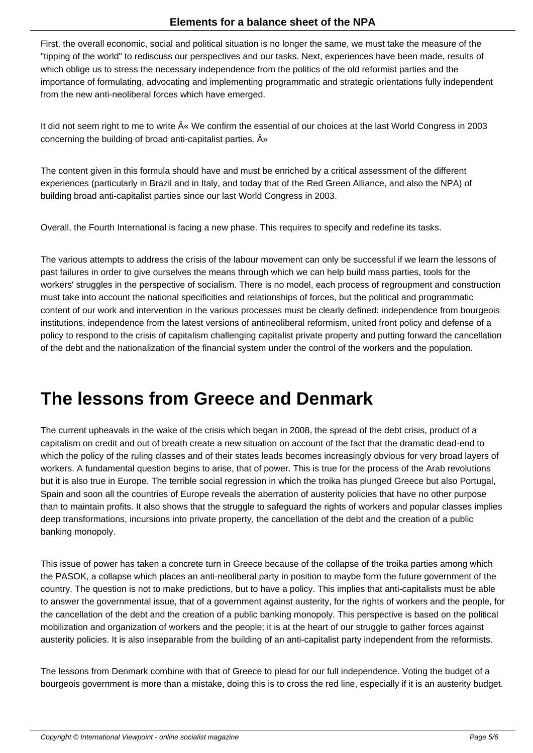First, the overall economic, social and political situation is no longer the same, we must take the measure of the "tipping of the world" to rediscuss our perspectives and our tasks. Next, experiences have been made, results of which oblige us to stress the necessary independence from the politics of the old reformist parties and the importance of formulating, advocating and implementing programmatic and strategic orientations fully independent from the new anti-neoliberal forces which have emerged.

It did not seem right to me to write  $\hat{A}^*$  We confirm the essential of our choices at the last World Congress in 2003 concerning the building of broad anti-capitalist parties.  $\hat{A}$ <sup>»</sup>

The content given in this formula should have and must be enriched by a critical assessment of the different experiences (particularly in Brazil and in Italy, and today that of the Red Green Alliance, and also the NPA) of building broad anti-capitalist parties since our last World Congress in 2003.

Overall, the Fourth International is facing a new phase. This requires to specify and redefine its tasks.

The various attempts to address the crisis of the labour movement can only be successful if we learn the lessons of past failures in order to give ourselves the means through which we can help build mass parties, tools for the workers' struggles in the perspective of socialism. There is no model, each process of regroupment and construction must take into account the national specificities and relationships of forces, but the political and programmatic content of our work and intervention in the various processes must be clearly defined: independence from bourgeois institutions, independence from the latest versions of antineoliberal reformism, united front policy and defense of a policy to respond to the crisis of capitalism challenging capitalist private property and putting forward the cancellation of the debt and the nationalization of the financial system under the control of the workers and the population.

#### **The lessons from Greece and Denmark**

The current upheavals in the wake of the crisis which began in 2008, the spread of the debt crisis, product of a capitalism on credit and out of breath create a new situation on account of the fact that the dramatic dead-end to which the policy of the ruling classes and of their states leads becomes increasingly obvious for very broad layers of workers. A fundamental question begins to arise, that of power. This is true for the process of the Arab revolutions but it is also true in Europe. The terrible social regression in which the troika has plunged Greece but also Portugal, Spain and soon all the countries of Europe reveals the aberration of austerity policies that have no other purpose than to maintain profits. It also shows that the struggle to safeguard the rights of workers and popular classes implies deep transformations, incursions into private property, the cancellation of the debt and the creation of a public banking monopoly.

This issue of power has taken a concrete turn in Greece because of the collapse of the troika parties among which the PASOK, a collapse which places an anti-neoliberal party in position to maybe form the future government of the country. The question is not to make predictions, but to have a policy. This implies that anti-capitalists must be able to answer the governmental issue, that of a government against austerity, for the rights of workers and the people, for the cancellation of the debt and the creation of a public banking monopoly. This perspective is based on the political mobilization and organization of workers and the people; it is at the heart of our struggle to gather forces against austerity policies. It is also inseparable from the building of an anti-capitalist party independent from the reformists.

The lessons from Denmark combine with that of Greece to plead for our full independence. Voting the budget of a bourgeois government is more than a mistake, doing this is to cross the red line, especially if it is an austerity budget.